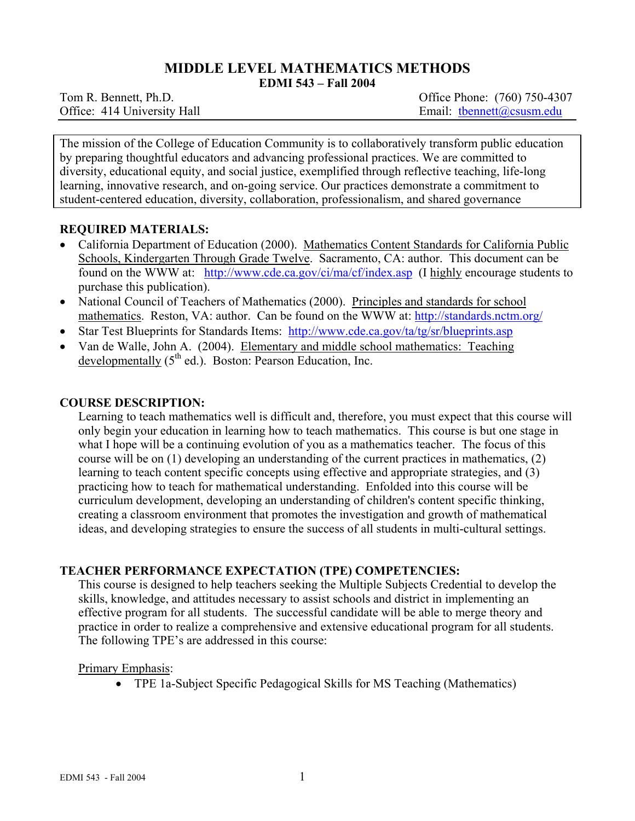# **MIDDLE LEVEL MATHEMATICS METHODS**

**EDMI 543 – Fall 2004** 

Tom R. Bennett, Ph.D. *Office Phone: (760) 750-4307* Office: 414 University Hall Email: thennett@csusm.edu

The mission of the College of Education Community is to collaboratively transform public education by preparing thoughtful educators and advancing professional practices. We are committed to diversity, educational equity, and social justice, exemplified through reflective teaching, life-long learning, innovative research, and on-going service. Our practices demonstrate a commitment to student-centered education, diversity, collaboration, professionalism, and shared governance

### **REQUIRED MATERIALS:**

- California Department of Education (2000). Mathematics Content Standards for California Public Schools, Kindergarten Through Grade Twelve. Sacramento, CA: author. This document can be found on the WWW at: http://www.cde.ca.gov/ci/ma/cf/index.asp (I highly encourage students to purchase this publication).
- National Council of Teachers of Mathematics (2000). Principles and standards for school mathematics. Reston, VA: author. Can be found on the WWW at: http://standards.nctm.org/
- Star Test Blueprints for Standards Items: http://www.cde.ca.gov/ta/tg/sr/blueprints.asp
- Van de Walle, John A. (2004). Elementary and middle school mathematics: Teaching developmentally  $(5^{th}$  ed.). Boston: Pearson Education, Inc.

#### **COURSE DESCRIPTION:**

Learning to teach mathematics well is difficult and, therefore, you must expect that this course will only begin your education in learning how to teach mathematics. This course is but one stage in what I hope will be a continuing evolution of you as a mathematics teacher. The focus of this course will be on (1) developing an understanding of the current practices in mathematics, (2) learning to teach content specific concepts using effective and appropriate strategies, and (3) practicing how to teach for mathematical understanding. Enfolded into this course will be curriculum development, developing an understanding of children's content specific thinking, creating a classroom environment that promotes the investigation and growth of mathematical ideas, and developing strategies to ensure the success of all students in multi-cultural settings.

### **TEACHER PERFORMANCE EXPECTATION (TPE) COMPETENCIES:**

This course is designed to help teachers seeking the Multiple Subjects Credential to develop the skills, knowledge, and attitudes necessary to assist schools and district in implementing an effective program for all students. The successful candidate will be able to merge theory and practice in order to realize a comprehensive and extensive educational program for all students. The following TPE's are addressed in this course:

#### Primary Emphasis:

• TPE 1a-Subject Specific Pedagogical Skills for MS Teaching (Mathematics)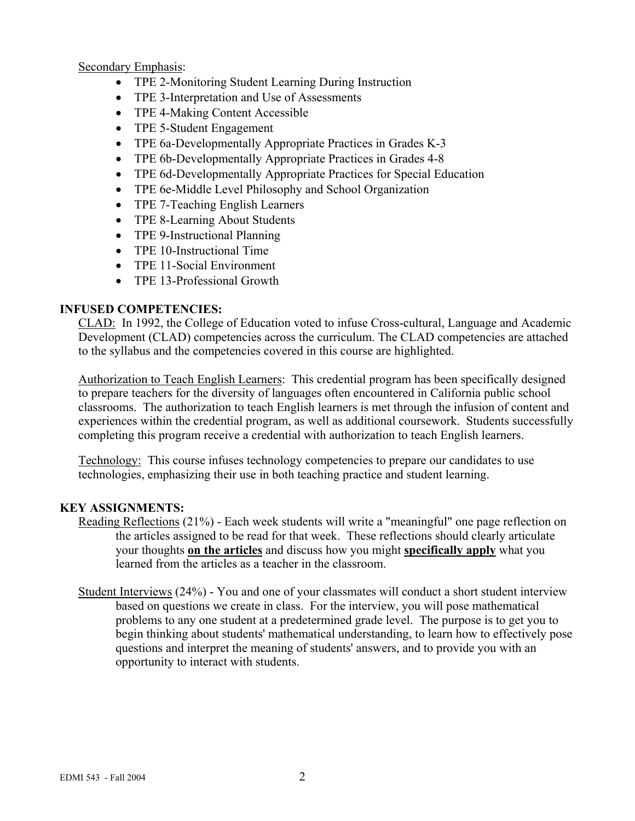Secondary Emphasis:

- TPE 2-Monitoring Student Learning During Instruction
- TPE 3-Interpretation and Use of Assessments
- TPE 4-Making Content Accessible
- TPE 5-Student Engagement
- TPE 6a-Developmentally Appropriate Practices in Grades K-3
- TPE 6b-Developmentally Appropriate Practices in Grades 4-8
- TPE 6d-Developmentally Appropriate Practices for Special Education
- TPE 6e-Middle Level Philosophy and School Organization
- TPE 7-Teaching English Learners
- TPE 8-Learning About Students
- TPE 9-Instructional Planning
- TPE 10-Instructional Time
- TPE 11-Social Environment
- TPE 13-Professional Growth

### **INFUSED COMPETENCIES:**

CLAD: In 1992, the College of Education voted to infuse Cross-cultural, Language and Academic Development (CLAD) competencies across the curriculum. The CLAD competencies are attached to the syllabus and the competencies covered in this course are highlighted.

Authorization to Teach English Learners: This credential program has been specifically designed to prepare teachers for the diversity of languages often encountered in California public school classrooms. The authorization to teach English learners is met through the infusion of content and experiences within the credential program, as well as additional coursework. Students successfully completing this program receive a credential with authorization to teach English learners.

Technology: This course infuses technology competencies to prepare our candidates to use technologies, emphasizing their use in both teaching practice and student learning.

# **KEY ASSIGNMENTS:**

- Reading Reflections (21%) Each week students will write a "meaningful" one page reflection on the articles assigned to be read for that week. These reflections should clearly articulate your thoughts **on the articles** and discuss how you might **specifically apply** what you learned from the articles as a teacher in the classroom.
- Student Interviews (24%) You and one of your classmates will conduct a short student interview based on questions we create in class. For the interview, you will pose mathematical problems to any one student at a predetermined grade level. The purpose is to get you to begin thinking about students' mathematical understanding, to learn how to effectively pose questions and interpret the meaning of students' answers, and to provide you with an opportunity to interact with students.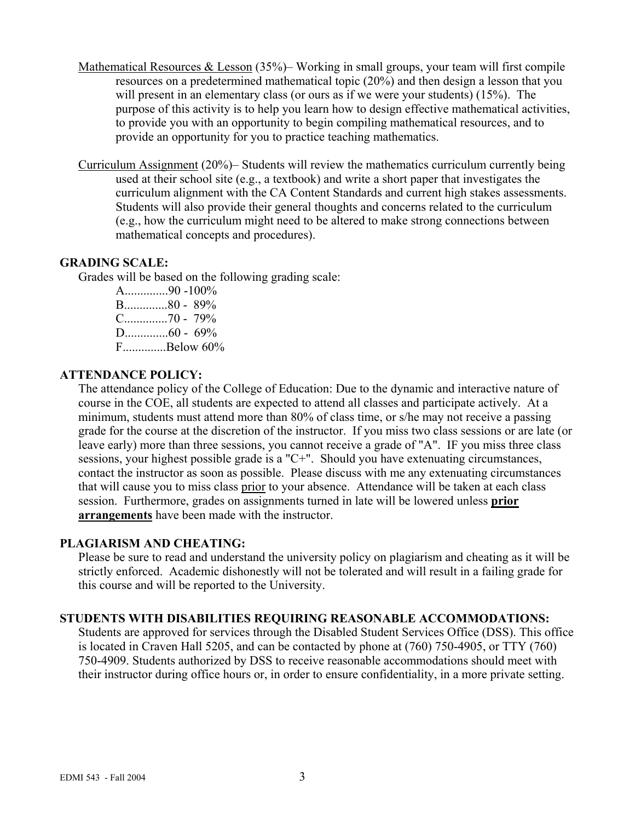- Mathematical Resources & Lesson (35%)– Working in small groups, your team will first compile resources on a predetermined mathematical topic (20%) and then design a lesson that you will present in an elementary class (or ours as if we were your students) (15%). The purpose of this activity is to help you learn how to design effective mathematical activities, to provide you with an opportunity to begin compiling mathematical resources, and to provide an opportunity for you to practice teaching mathematics.
- Curriculum Assignment (20%)– Students will review the mathematics curriculum currently being used at their school site (e.g., a textbook) and write a short paper that investigates the curriculum alignment with the CA Content Standards and current high stakes assessments. Students will also provide their general thoughts and concerns related to the curriculum (e.g., how the curriculum might need to be altered to make strong connections between mathematical concepts and procedures).

### **GRADING SCALE:**

Grades will be based on the following grading scale:

A..............90 -100% B..............80 - 89% C..............70 - 79%  $D_{\dots}$  60 - 69% F..............Below 60%

### **ATTENDANCE POLICY:**

The attendance policy of the College of Education: Due to the dynamic and interactive nature of course in the COE, all students are expected to attend all classes and participate actively. At a minimum, students must attend more than 80% of class time, or s/he may not receive a passing grade for the course at the discretion of the instructor. If you miss two class sessions or are late (or leave early) more than three sessions, you cannot receive a grade of "A". IF you miss three class sessions, your highest possible grade is a "C+". Should you have extenuating circumstances, contact the instructor as soon as possible. Please discuss with me any extenuating circumstances that will cause you to miss class prior to your absence. Attendance will be taken at each class session. Furthermore, grades on assignments turned in late will be lowered unless **prior arrangements** have been made with the instructor.

### **PLAGIARISM AND CHEATING:**

Please be sure to read and understand the university policy on plagiarism and cheating as it will be strictly enforced. Academic dishonestly will not be tolerated and will result in a failing grade for this course and will be reported to the University.

### **STUDENTS WITH DISABILITIES REQUIRING REASONABLE ACCOMMODATIONS:**

Students are approved for services through the Disabled Student Services Office (DSS). This office is located in Craven Hall 5205, and can be contacted by phone at (760) 750-4905, or TTY (760) 750-4909. Students authorized by DSS to receive reasonable accommodations should meet with their instructor during office hours or, in order to ensure confidentiality, in a more private setting.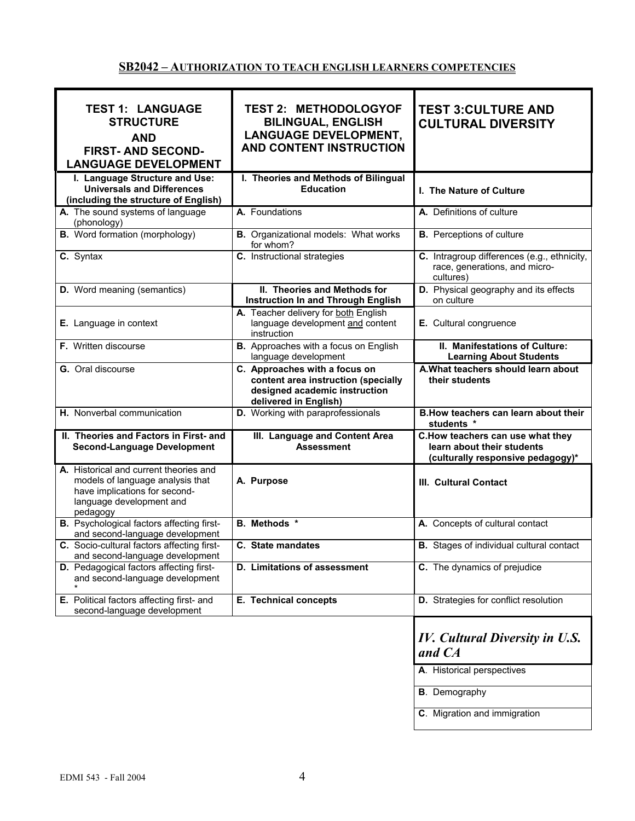# **SB2042 – AUTHORIZATION TO TEACH ENGLISH LEARNERS COMPETENCIES**

| <b>TEST 1: LANGUAGE</b><br><b>STRUCTURE</b><br><b>AND</b><br><b>FIRST-AND SECOND-</b><br><b>LANGUAGE DEVELOPMENT</b>                                | <b>TEST 2: METHODOLOGYOF</b><br><b>BILINGUAL, ENGLISH</b><br><b>LANGUAGE DEVELOPMENT,</b><br>AND CONTENT INSTRUCTION           | <b>TEST 3: CULTURE AND</b><br><b>CULTURAL DIVERSITY</b>                                             |
|-----------------------------------------------------------------------------------------------------------------------------------------------------|--------------------------------------------------------------------------------------------------------------------------------|-----------------------------------------------------------------------------------------------------|
| I. Language Structure and Use:<br><b>Universals and Differences</b><br>(including the structure of English)                                         | I. Theories and Methods of Bilingual<br><b>Education</b>                                                                       | I. The Nature of Culture                                                                            |
| A. The sound systems of language<br>(phonology)                                                                                                     | A. Foundations                                                                                                                 | A. Definitions of culture                                                                           |
| <b>B.</b> Word formation (morphology)                                                                                                               | <b>B.</b> Organizational models: What works<br>for whom?                                                                       | <b>B.</b> Perceptions of culture                                                                    |
| C. Syntax                                                                                                                                           | C. Instructional strategies                                                                                                    | C. Intragroup differences (e.g., ethnicity,<br>race, generations, and micro-<br>cultures)           |
| <b>D.</b> Word meaning (semantics)                                                                                                                  | II. Theories and Methods for<br><b>Instruction In and Through English</b>                                                      | D. Physical geography and its effects<br>on culture                                                 |
| E. Language in context                                                                                                                              | A. Teacher delivery for both English<br>language development and content<br>instruction                                        | E. Cultural congruence                                                                              |
| F. Written discourse                                                                                                                                | B. Approaches with a focus on English<br>language development                                                                  | II. Manifestations of Culture:<br><b>Learning About Students</b>                                    |
| G. Oral discourse                                                                                                                                   | C. Approaches with a focus on<br>content area instruction (specially<br>designed academic instruction<br>delivered in English) | A. What teachers should learn about<br>their students                                               |
| H. Nonverbal communication                                                                                                                          | D. Working with paraprofessionals                                                                                              | B. How teachers can learn about their<br>students *                                                 |
| II. Theories and Factors in First- and<br><b>Second-Language Development</b>                                                                        | III. Language and Content Area<br><b>Assessment</b>                                                                            | C.How teachers can use what they<br>learn about their students<br>(culturally responsive pedagogy)* |
| A. Historical and current theories and<br>models of language analysis that<br>have implications for second-<br>language development and<br>pedagogy | A. Purpose                                                                                                                     | III. Cultural Contact                                                                               |
| <b>B.</b> Psychological factors affecting first-<br>and second-language development                                                                 | <b>B.</b> Methods *                                                                                                            | A. Concepts of cultural contact                                                                     |
| C. Socio-cultural factors affecting first-<br>and second-language development                                                                       | C. State mandates                                                                                                              | <b>B.</b> Stages of individual cultural contact                                                     |
| <b>D.</b> Pedagogical factors affecting first-<br>and second-language development                                                                   | D. Limitations of assessment                                                                                                   | C. The dynamics of prejudice                                                                        |
| E. Political factors affecting first- and<br>second-language development                                                                            | E. Technical concepts                                                                                                          | D. Strategies for conflict resolution                                                               |
|                                                                                                                                                     |                                                                                                                                | <b>IV.</b> Cultural Diversity in U.S.<br>and CA                                                     |
|                                                                                                                                                     |                                                                                                                                | A. Historical perspectives                                                                          |
|                                                                                                                                                     |                                                                                                                                | <b>B</b> . Demography                                                                               |
|                                                                                                                                                     |                                                                                                                                | C. Migration and immigration                                                                        |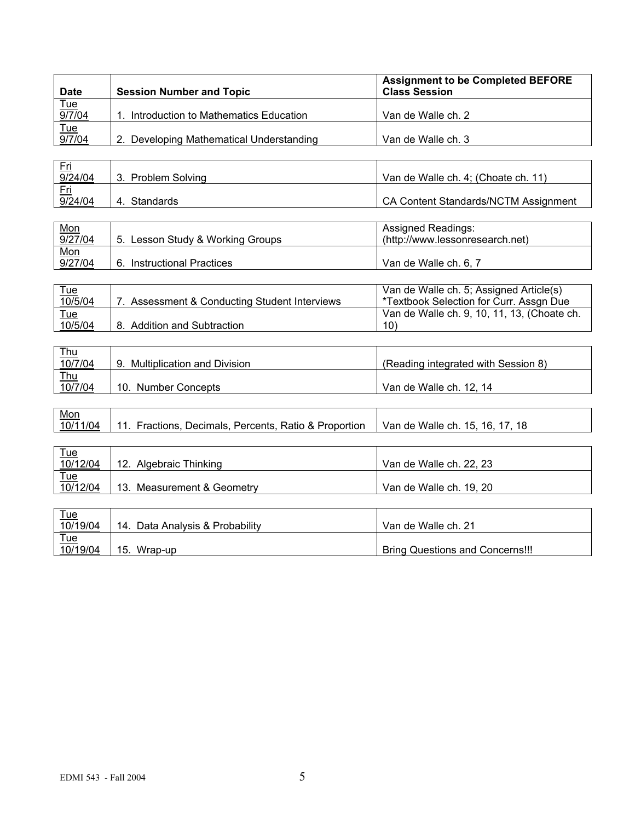| <b>Date</b>          | <b>Session Number and Topic</b>          | <b>Assignment to be Completed BEFORE</b><br><b>Class Session</b>                                                                                                                                                                  |
|----------------------|------------------------------------------|-----------------------------------------------------------------------------------------------------------------------------------------------------------------------------------------------------------------------------------|
|                      |                                          |                                                                                                                                                                                                                                   |
| <u>Tue</u><br>9/7/04 | Introduction to Mathematics Education    | Van de Walle ch. 2                                                                                                                                                                                                                |
| <u>Tue</u><br>9/7/04 |                                          |                                                                                                                                                                                                                                   |
|                      | 2. Developing Mathematical Understanding | Van de Walle ch. 3                                                                                                                                                                                                                |
|                      |                                          |                                                                                                                                                                                                                                   |
| <u>Fri</u><br>.      |                                          | $\mathbf{r}$ , and the contract of the contract of the contract of the contract of the contract of the contract of the contract of the contract of the contract of the contract of the contract of the contract of the contract o |

| 9/24/04    | <b>Problem Solving</b><br>ົ | Van de Walle ch. 4; (Choate ch. 11)         |
|------------|-----------------------------|---------------------------------------------|
| <u>Fri</u> |                             |                                             |
| 9/24/04    | Standards<br>$\mathbf{4}$   | <b>CA Content Standards/NCTM Assignment</b> |
|            |                             |                                             |

| <u>Mon</u> |                                      | <b>Assigned Readings:</b>       |
|------------|--------------------------------------|---------------------------------|
| 9/27/04    | Lesson Study & Working Groups<br>-5. | (http://www.lessonresearch.net) |
| <u>Mon</u> |                                      |                                 |
| 9/27/04    | <b>Instructional Practices</b><br>6. | Van de Walle ch. 6, 7           |

| Tue     |                                            | Van de Walle ch. 5; Assigned Article(s)     |
|---------|--------------------------------------------|---------------------------------------------|
| 10/5/04 | Assessment & Conducting Student Interviews | *Textbook Selection for Curr. Assgn Due     |
| Tue     |                                            | Van de Walle ch. 9, 10, 11, 13, (Choate ch. |
| 10/5/04 | 8. Addition and Subtraction                | 10)                                         |

| <u>Thu</u> |                             |                                     |
|------------|-----------------------------|-------------------------------------|
| 10/7/04    | Multiplication and Division | (Reading integrated with Session 8) |
| $Thu$      |                             |                                     |
| 10/7/04    | 10. Number Concepts         | Van de Walle ch. 12, 14             |

| Mon      |                                                       |                                 |
|----------|-------------------------------------------------------|---------------------------------|
| 10/11/04 | 11. Fractions, Decimals, Percents, Ratio & Proportion | Van de Walle ch. 15, 16, 17, 18 |

| $\frac{Tue}{10/12/04}$ | 12. Algebraic Thinking     | Van de Walle ch. 22, 23 |
|------------------------|----------------------------|-------------------------|
| <u>Tue</u>             |                            |                         |
| 10/12/04               | 13. Measurement & Geometry | Van de Walle ch. 19, 20 |
|                        |                            |                         |

| <u>Tue</u> |                                 |                                 |
|------------|---------------------------------|---------------------------------|
| 10/19/04   | 14. Data Analysis & Probability | Van de Walle ch. 21             |
| <u>Tue</u> |                                 |                                 |
| 10/19/04   | Wrap-up<br>15.                  | Bring Questions and Concerns!!! |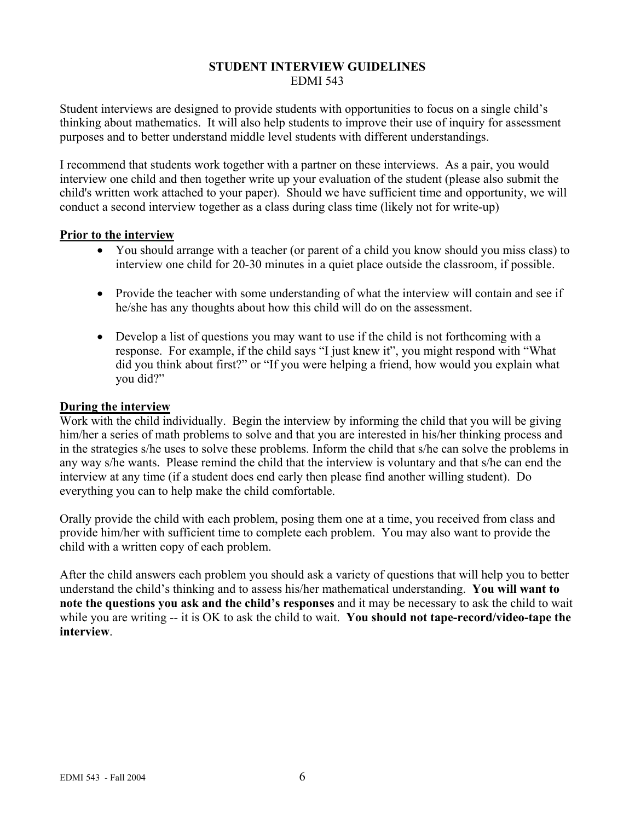### **STUDENT INTERVIEW GUIDELINES**  EDMI 543

Student interviews are designed to provide students with opportunities to focus on a single child's thinking about mathematics. It will also help students to improve their use of inquiry for assessment purposes and to better understand middle level students with different understandings.

I recommend that students work together with a partner on these interviews. As a pair, you would interview one child and then together write up your evaluation of the student (please also submit the child's written work attached to your paper). Should we have sufficient time and opportunity, we will conduct a second interview together as a class during class time (likely not for write-up)

#### **Prior to the interview**

- You should arrange with a teacher (or parent of a child you know should you miss class) to interview one child for 20-30 minutes in a quiet place outside the classroom, if possible.
- Provide the teacher with some understanding of what the interview will contain and see if he/she has any thoughts about how this child will do on the assessment.
- Develop a list of questions you may want to use if the child is not forthcoming with a response. For example, if the child says "I just knew it", you might respond with "What did you think about first?" or "If you were helping a friend, how would you explain what you did?"

#### **During the interview**

Work with the child individually. Begin the interview by informing the child that you will be giving him/her a series of math problems to solve and that you are interested in his/her thinking process and in the strategies s/he uses to solve these problems. Inform the child that s/he can solve the problems in any way s/he wants. Please remind the child that the interview is voluntary and that s/he can end the interview at any time (if a student does end early then please find another willing student). Do everything you can to help make the child comfortable.

Orally provide the child with each problem, posing them one at a time, you received from class and provide him/her with sufficient time to complete each problem. You may also want to provide the child with a written copy of each problem.

After the child answers each problem you should ask a variety of questions that will help you to better understand the child's thinking and to assess his/her mathematical understanding. **You will want to note the questions you ask and the child's responses** and it may be necessary to ask the child to wait while you are writing -- it is OK to ask the child to wait. **You should not tape-record/video-tape the interview**.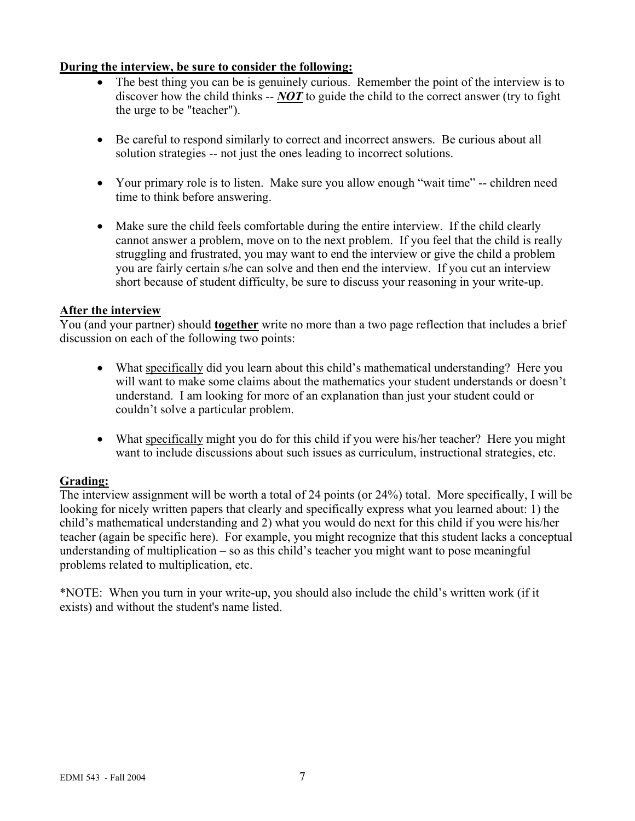### **During the interview, be sure to consider the following:**

- The best thing you can be is genuinely curious. Remember the point of the interview is to discover how the child thinks -- *NOT* to guide the child to the correct answer (try to fight the urge to be "teacher").
- Be careful to respond similarly to correct and incorrect answers. Be curious about all solution strategies -- not just the ones leading to incorrect solutions.
- Your primary role is to listen. Make sure you allow enough "wait time" -- children need time to think before answering.
- Make sure the child feels comfortable during the entire interview. If the child clearly cannot answer a problem, move on to the next problem. If you feel that the child is really struggling and frustrated, you may want to end the interview or give the child a problem you are fairly certain s/he can solve and then end the interview. If you cut an interview short because of student difficulty, be sure to discuss your reasoning in your write-up.

### **After the interview**

You (and your partner) should **together** write no more than a two page reflection that includes a brief discussion on each of the following two points:

- What specifically did you learn about this child's mathematical understanding? Here you will want to make some claims about the mathematics your student understands or doesn't understand. I am looking for more of an explanation than just your student could or couldn't solve a particular problem.
- What specifically might you do for this child if you were his/her teacher? Here you might want to include discussions about such issues as curriculum, instructional strategies, etc.

### **Grading:**

The interview assignment will be worth a total of 24 points (or 24%) total. More specifically, I will be looking for nicely written papers that clearly and specifically express what you learned about: 1) the child's mathematical understanding and 2) what you would do next for this child if you were his/her teacher (again be specific here). For example, you might recognize that this student lacks a conceptual understanding of multiplication – so as this child's teacher you might want to pose meaningful problems related to multiplication, etc.

\*NOTE: When you turn in your write-up, you should also include the child's written work (if it exists) and without the student's name listed.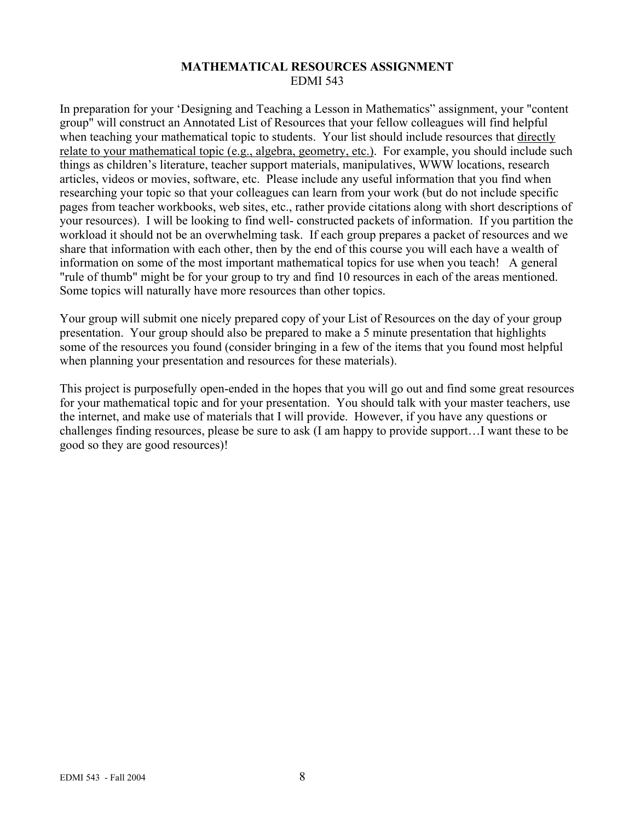### **MATHEMATICAL RESOURCES ASSIGNMENT**  EDMI 543

In preparation for your 'Designing and Teaching a Lesson in Mathematics" assignment, your "content group" will construct an Annotated List of Resources that your fellow colleagues will find helpful when teaching your mathematical topic to students. Your list should include resources that directly relate to your mathematical topic (e.g., algebra, geometry, etc.). For example, you should include such things as children's literature, teacher support materials, manipulatives, WWW locations, research articles, videos or movies, software, etc. Please include any useful information that you find when researching your topic so that your colleagues can learn from your work (but do not include specific pages from teacher workbooks, web sites, etc., rather provide citations along with short descriptions of your resources). I will be looking to find well- constructed packets of information. If you partition the workload it should not be an overwhelming task. If each group prepares a packet of resources and we share that information with each other, then by the end of this course you will each have a wealth of information on some of the most important mathematical topics for use when you teach! A general "rule of thumb" might be for your group to try and find 10 resources in each of the areas mentioned. Some topics will naturally have more resources than other topics.

Your group will submit one nicely prepared copy of your List of Resources on the day of your group presentation. Your group should also be prepared to make a 5 minute presentation that highlights some of the resources you found (consider bringing in a few of the items that you found most helpful when planning your presentation and resources for these materials).

This project is purposefully open-ended in the hopes that you will go out and find some great resources for your mathematical topic and for your presentation. You should talk with your master teachers, use the internet, and make use of materials that I will provide. However, if you have any questions or challenges finding resources, please be sure to ask (I am happy to provide support…I want these to be good so they are good resources)!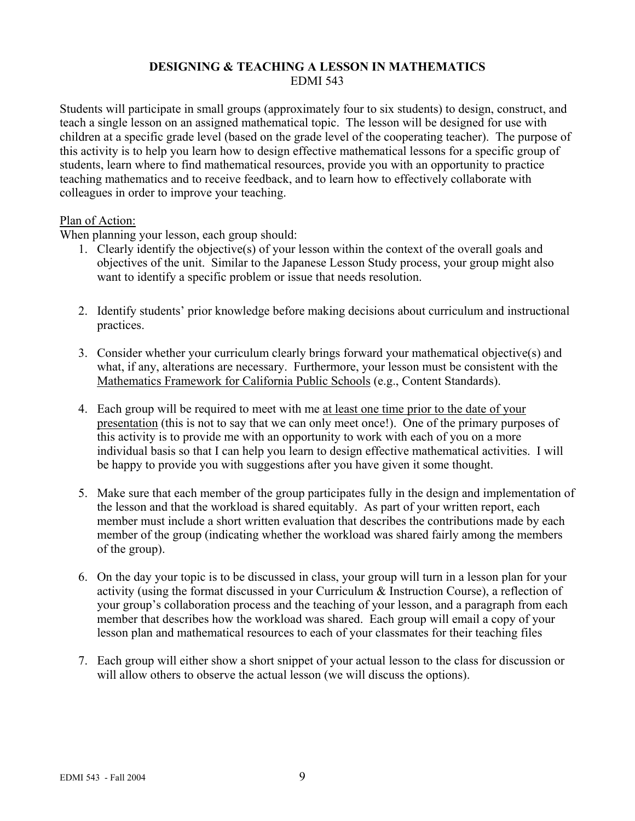### **DESIGNING & TEACHING A LESSON IN MATHEMATICS**  EDMI 543

Students will participate in small groups (approximately four to six students) to design, construct, and teach a single lesson on an assigned mathematical topic. The lesson will be designed for use with children at a specific grade level (based on the grade level of the cooperating teacher). The purpose of this activity is to help you learn how to design effective mathematical lessons for a specific group of students, learn where to find mathematical resources, provide you with an opportunity to practice teaching mathematics and to receive feedback, and to learn how to effectively collaborate with colleagues in order to improve your teaching.

### Plan of Action:

When planning your lesson, each group should:

- 1. Clearly identify the objective(s) of your lesson within the context of the overall goals and objectives of the unit. Similar to the Japanese Lesson Study process, your group might also want to identify a specific problem or issue that needs resolution.
- 2. Identify students' prior knowledge before making decisions about curriculum and instructional practices.
- 3. Consider whether your curriculum clearly brings forward your mathematical objective(s) and what, if any, alterations are necessary. Furthermore, your lesson must be consistent with the Mathematics Framework for California Public Schools (e.g., Content Standards).
- 4. Each group will be required to meet with me at least one time prior to the date of your presentation (this is not to say that we can only meet once!). One of the primary purposes of this activity is to provide me with an opportunity to work with each of you on a more individual basis so that I can help you learn to design effective mathematical activities. I will be happy to provide you with suggestions after you have given it some thought.
- 5. Make sure that each member of the group participates fully in the design and implementation of the lesson and that the workload is shared equitably. As part of your written report, each member must include a short written evaluation that describes the contributions made by each member of the group (indicating whether the workload was shared fairly among the members of the group).
- 6. On the day your topic is to be discussed in class, your group will turn in a lesson plan for your activity (using the format discussed in your Curriculum & Instruction Course), a reflection of your group's collaboration process and the teaching of your lesson, and a paragraph from each member that describes how the workload was shared. Each group will email a copy of your lesson plan and mathematical resources to each of your classmates for their teaching files
- 7. Each group will either show a short snippet of your actual lesson to the class for discussion or will allow others to observe the actual lesson (we will discuss the options).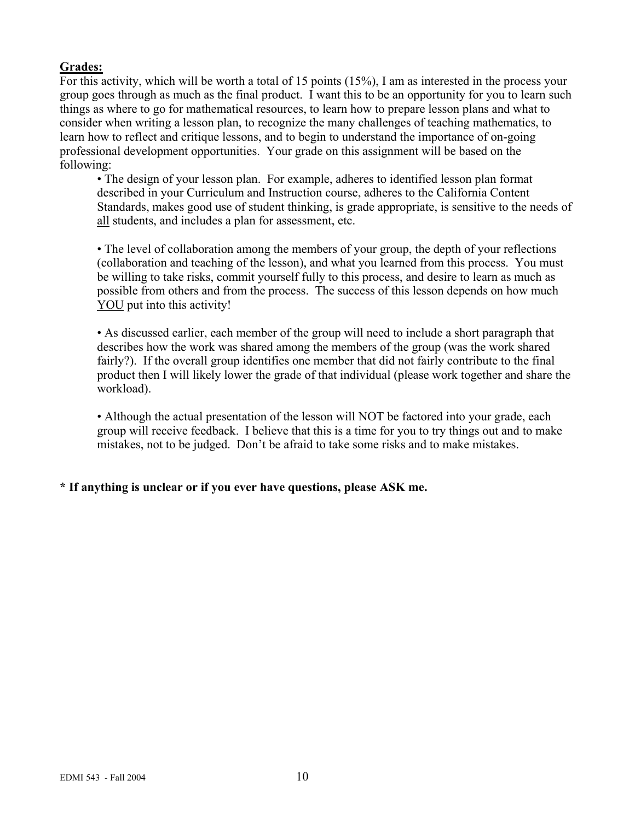# **Grades:**

For this activity, which will be worth a total of 15 points (15%), I am as interested in the process your group goes through as much as the final product. I want this to be an opportunity for you to learn such things as where to go for mathematical resources, to learn how to prepare lesson plans and what to consider when writing a lesson plan, to recognize the many challenges of teaching mathematics, to learn how to reflect and critique lessons, and to begin to understand the importance of on-going professional development opportunities. Your grade on this assignment will be based on the following:

• The design of your lesson plan. For example, adheres to identified lesson plan format described in your Curriculum and Instruction course, adheres to the California Content Standards, makes good use of student thinking, is grade appropriate, is sensitive to the needs of all students, and includes a plan for assessment, etc.

• The level of collaboration among the members of your group, the depth of your reflections (collaboration and teaching of the lesson), and what you learned from this process. You must be willing to take risks, commit yourself fully to this process, and desire to learn as much as possible from others and from the process. The success of this lesson depends on how much YOU put into this activity!

• As discussed earlier, each member of the group will need to include a short paragraph that describes how the work was shared among the members of the group (was the work shared fairly?). If the overall group identifies one member that did not fairly contribute to the final product then I will likely lower the grade of that individual (please work together and share the workload).

• Although the actual presentation of the lesson will NOT be factored into your grade, each group will receive feedback. I believe that this is a time for you to try things out and to make mistakes, not to be judged. Don't be afraid to take some risks and to make mistakes.

# **\* If anything is unclear or if you ever have questions, please ASK me.**